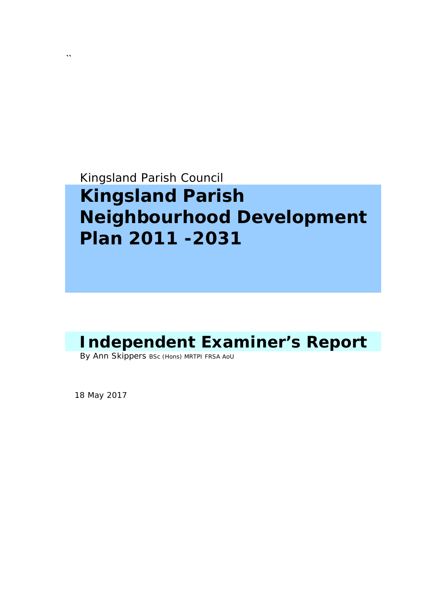Kingsland Parish Council

# **Kingsland Parish Neighbourhood Development Plan 2011 -2031**

## **Independent Examiner's Report**

By Ann Skippers BSc (Hons) MRTPI FRSA AoU

18 May 2017

**``**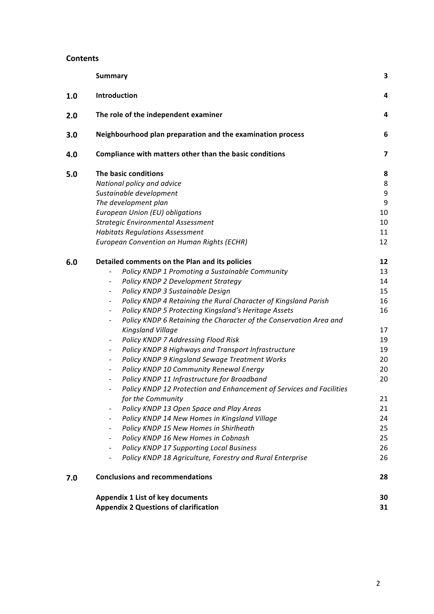#### **Contents**

|     | <b>Summary</b>                                                                              | 3  |
|-----|---------------------------------------------------------------------------------------------|----|
| 1.0 | Introduction                                                                                | 4  |
| 2.0 | The role of the independent examiner                                                        | 4  |
| 3.0 | Neighbourhood plan preparation and the examination process                                  | 6  |
| 4.0 | Compliance with matters other than the basic conditions                                     | 7  |
| 5.0 | The basic conditions                                                                        | 8  |
|     | National policy and advice                                                                  | 8  |
|     | Sustainable development                                                                     | 9  |
|     | The development plan                                                                        | 9  |
|     | European Union (EU) obligations                                                             | 10 |
|     | <b>Strategic Environmental Assessment</b>                                                   | 10 |
|     | <b>Habitats Regulations Assessment</b>                                                      | 11 |
|     | European Convention on Human Rights (ECHR)                                                  | 12 |
| 6.0 | Detailed comments on the Plan and its policies                                              | 12 |
|     | Policy KNDP 1 Promoting a Sustainable Community                                             | 13 |
|     | Policy KNDP 2 Development Strategy<br>$\overline{\phantom{a}}$                              | 14 |
|     | Policy KNDP 3 Sustainable Design<br>$\overline{\phantom{a}}$                                | 15 |
|     | Policy KNDP 4 Retaining the Rural Character of Kingsland Parish<br>$\overline{\phantom{a}}$ | 16 |
|     | Policy KNDP 5 Protecting Kingsland's Heritage Assets                                        | 16 |
|     | Policy KNDP 6 Retaining the Character of the Conservation Area and                          |    |
|     | Kingsland Village                                                                           | 17 |
|     | Policy KNDP 7 Addressing Flood Risk<br>$\overline{\phantom{a}}$                             | 19 |
|     | Policy KNDP 8 Highways and Transport Infrastructure                                         | 19 |
|     | Policy KNDP 9 Kingsland Sewage Treatment Works<br>$\overline{\phantom{a}}$                  | 20 |
|     | Policy KNDP 10 Community Renewal Energy<br>$\qquad \qquad \blacksquare$                     | 20 |
|     | Policy KNDP 11 Infrastructure for Broadband<br>$\overline{\phantom{a}}$                     | 20 |
|     | Policy KNDP 12 Protection and Enhancement of Services and Facilities                        |    |
|     | for the Community                                                                           | 21 |
|     | Policy KNDP 13 Open Space and Play Areas<br>$\qquad \qquad \blacksquare$                    | 21 |
|     | Policy KNDP 14 New Homes in Kingsland Village<br>$\overline{\phantom{a}}$                   | 24 |
|     | Policy KNDP 15 New Homes in Shirlheath<br>$\overline{\phantom{a}}$                          | 25 |
|     | Policy KNDP 16 New Homes in Cobnash                                                         | 25 |
|     | <b>Policy KNDP 17 Supporting Local Business</b><br>$\overline{\phantom{a}}$                 | 26 |
|     | Policy KNDP 18 Agriculture, Forestry and Rural Enterprise<br>$\overline{\phantom{a}}$       | 26 |
| 7.0 | <b>Conclusions and recommendations</b>                                                      | 28 |
|     | <b>Appendix 1 List of key documents</b>                                                     | 30 |
|     | <b>Appendix 2 Questions of clarification</b>                                                | 31 |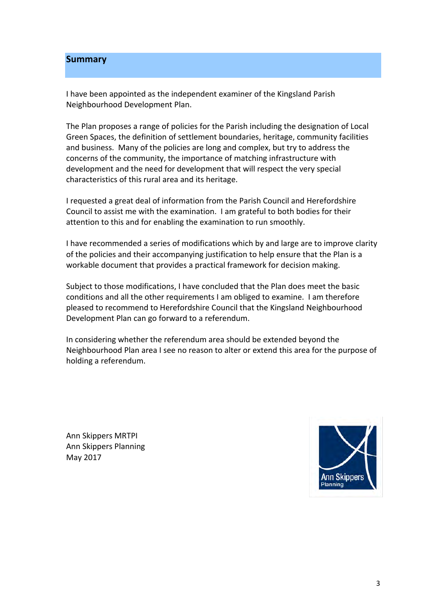#### **Summary**

I have been appointed as the independent examiner of the Kingsland Parish Neighbourhood Development Plan.

The Plan proposes a range of policies for the Parish including the designation of Local Green Spaces, the definition of settlement boundaries, heritage, community facilities and business. Many of the policies are long and complex, but try to address the concerns of the community, the importance of matching infrastructure with development and the need for development that will respect the very special characteristics of this rural area and its heritage.

I requested a great deal of information from the Parish Council and Herefordshire Council to assist me with the examination. I am grateful to both bodies for their attention to this and for enabling the examination to run smoothly.

I have recommended a series of modifications which by and large are to improve clarity of the policies and their accompanying justification to help ensure that the Plan is a workable document that provides a practical framework for decision making.

Subject to those modifications, I have concluded that the Plan does meet the basic conditions and all the other requirements I am obliged to examine. I am therefore pleased to recommend to Herefordshire Council that the Kingsland Neighbourhood Development Plan can go forward to a referendum.

In considering whether the referendum area should be extended beyond the Neighbourhood Plan area I see no reason to alter or extend this area for the purpose of holding a referendum.

 Ann Skippers MRTPI Ann Skippers Planning May 2017

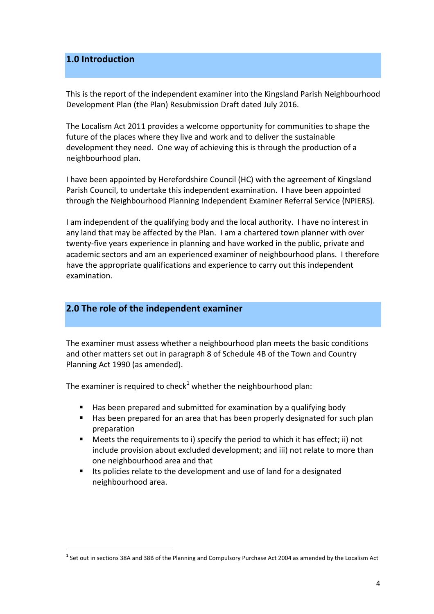## **1.0 Introduction**

This is the report of the independent examiner into the Kingsland Parish Neighbourhood Development Plan (the Plan) Resubmission Draft dated July 2016.

The Localism Act 2011 provides a welcome opportunity for communities to shape the future of the places where they live and work and to deliver the sustainable development they need. One way of achieving this is through the production of a neighbourhood plan.

I have been appointed by Herefordshire Council (HC) with the agreement of Kingsland Parish Council, to undertake this independent examination. I have been appointed through the Neighbourhood Planning Independent Examiner Referral Service (NPIERS).

I am independent of the qualifying body and the local authority. I have no interest in any land that may be affected by the Plan. I am a chartered town planner with over twenty-five years experience in planning and have worked in the public, private and academic sectors and am an experienced examiner of neighbourhood plans. I therefore have the appropriate qualifications and experience to carry out this independent examination.

## **2.0** The role of the independent examiner

 

The examiner must assess whether a neighbourhood plan meets the basic conditions and other matters set out in paragraph 8 of Schedule 4B of the Town and Country Planning Act 1990 (as amended).

The examiner is required to check<sup>1</sup> whether the neighbourhood plan:

- **E** Has been prepared and submitted for examination by a qualifying body
- " Has been prepared for an area that has been properly designated for such plan preparation
- " Meets the requirements to i) specify the period to which it has effect; ii) not include provision about excluded development; and iii) not relate to more than one neighbourhood area and that
- Its policies relate to the development and use of land for a designated neighbourhood area.

 $^1$  Set out in sections 38A and 38B of the Planning and Compulsory Purchase Act 2004 as amended by the Localism Act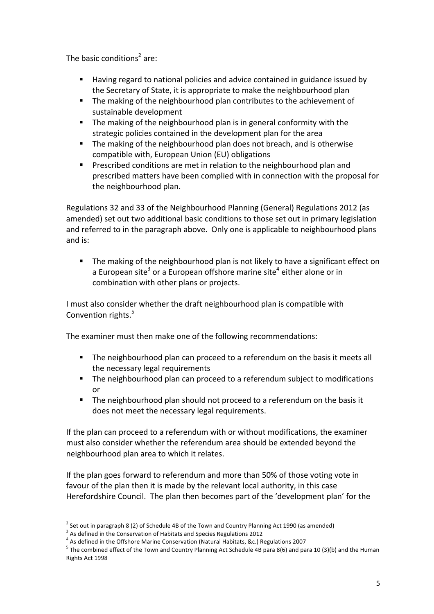The basic conditions<sup>2</sup> are:

- **E** Having regard to national policies and advice contained in guidance issued by the Secretary of State, it is appropriate to make the neighbourhood plan
- " The making of the neighbourhood plan contributes to the achievement of sustainable development
- **The making of the neighbourhood plan is in general conformity with the** strategic policies contained in the development plan for the area
- **The making of the neighbourhood plan does not breach, and is otherwise**  compatible with, European Union (EU) obligations
- " Prescribed conditions are met in relation to the neighbourhood plan and prescribed matters have been complied with in connection with the proposal for the neighbourhood plan.

 Regulations 32 and 33 of the Neighbourhood Planning (General) Regulations 2012 (as amended) set out two additional basic conditions to those set out in primary legislation and referred to in the paragraph above. Only one is applicable to neighbourhood plans and is:

" The making of the neighbourhood plan is not likely to have a significant effect on a European site<sup>3</sup> or a European offshore marine site<sup>4</sup> either alone or in combination with other plans or projects.

I must also consider whether the draft neighbourhood plan is compatible with Convention rights.<sup>5</sup>

The examiner must then make one of the following recommendations:

- " The neighbourhood plan can proceed to a referendum on the basis it meets all the necessary legal requirements
- " The neighbourhood plan can proceed to a referendum subject to modifications or
- " The neighbourhood plan should not proceed to a referendum on the basis it does not meet the necessary legal requirements.

If the plan can proceed to a referendum with or without modifications, the examiner must also consider whether the referendum area should be extended beyond the neighbourhood plan area to which it relates.

 If the plan goes forward to referendum and more than 50% of those voting vote in favour of the plan then it is made by the relevant local authority, in this case Herefordshire Council. The plan then becomes part of the 'development plan' for the

 out in paragraph 8 (2) of Schedule 4B of the Town and Country Planning Act 1990 (as

<sup>&</sup>lt;sup>3</sup> As defined in the Conservation of Habitats and Species Regulations 2012

<sup>&</sup>lt;sup>4</sup> As defined in the Offshore Marine Conservation (Natural Habitats, &c.) Regulations 2007

<sup>&</sup>lt;sup>2</sup> Set out in paragraph 8 (2) of Schedule 4B of the Town and Country Planning Act 1990 (as amended)<br><sup>3</sup> As defined in the Conservation of Habitats and Species Regulations 2012<br><sup>4</sup> As defined in the Offshore Marine Conser Rights Act 1998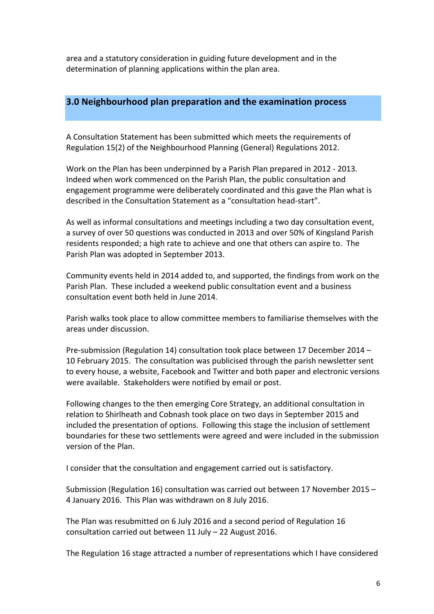area and a statutory consideration in guiding future development and in the determination of planning applications within the plan area.

## **3.0 Neighbourhood plan preparation and the examination process**

A Consultation Statement has been submitted which meets the requirements of Regulation 15(2) of the Neighbourhood Planning (General) Regulations 2012.

Work on the Plan has been underpinned by a Parish Plan prepared in 2012 - 2013. Indeed when work commenced on the Parish Plan, the public consultation and engagement programme were deliberately coordinated and this gave the Plan what is described in the Consultation Statement as a "consultation head-start".

As well as informal consultations and meetings including a two day consultation event, a survey of over 50 questions was conducted in 2013 and over 50% of Kingsland Parish residents responded; a high rate to achieve and one that others can aspire to. The Parish Plan was adopted in September 2013.

 Community events held in 2014 added to, and supported, the findings from work on the Parish Plan. These included a weekend public consultation event and a business consultation event both held in June 2014.

 Parish walks took place to allow committee members to familiarise themselves with the areas under discussion.

Pre-submission (Regulation 14) consultation took place between 17 December 2014 - 10 February 2015. The consultation was publicised through the parish newsletter sent to every house, a website, Facebook and Twitter and both paper and electronic versions were available. Stakeholders were notified by email or post.

 Following changes to the then emerging Core Strategy, an additional consultation in relation to Shirlheath and Cobnash took place on two days in September 2015 and included the presentation of options. Following this stage the inclusion of settlement boundaries for these two settlements were agreed and were included in the submission version of the Plan.

I consider that the consultation and engagement carried out is satisfactory.

Submission (Regulation 16) consultation was carried out between 17 November 2015 - 4 January 2016. This Plan was withdrawn on 8 July 2016.

The Plan was resubmitted on 6 July 2016 and a second period of Regulation 16 consultation carried out between 11 July - 22 August 2016.

The Regulation 16 stage attracted a number of representations which I have considered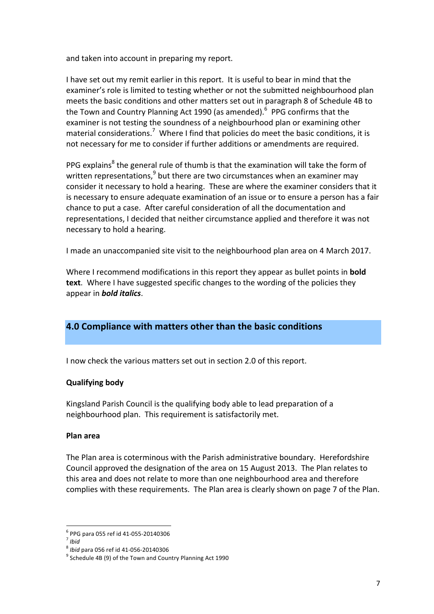and taken into account in preparing my report.

I have set out my remit earlier in this report. It is useful to bear in mind that the examiner's role is limited to testing whether or not the submitted neighbourhood plan meets the basic conditions and other matters set out in paragraph 8 of Schedule 4B to the Town and Country Planning Act 1990 (as amended).<sup>6</sup> PPG confirms that the examiner is not testing the soundness of a neighbourhood plan or examining other material considerations.<sup>7</sup> Where I find that policies do meet the basic conditions, it is not necessary for me to consider if further additions or amendments are required.

PPG explains<sup>8</sup> the general rule of thumb is that the examination will take the form of written representations, $9$  but there are two circumstances when an examiner may consider it necessary to hold a hearing. These are where the examiner considers that it is necessary to ensure adequate examination of an issue or to ensure a person has a fair chance to put a case. After careful consideration of all the documentation and representations, I decided that neither circumstance applied and therefore it was not necessary to hold a hearing.

I made an unaccompanied site visit to the neighbourhood plan area on 4 March 2017.

Where I recommend modifications in this report they appear as bullet points in **bold** text. Where I have suggested specific changes to the wording of the policies they appear in **bold italics**.

## **4.0 Compliance with matters other than the basic conditions**

I now check the various matters set out in section 2.0 of this report.

#### **Qualifying body**

 Kingsland Parish Council is the qualifying body able to lead preparation of a neighbourhood plan. This requirement is satisfactorily met.

#### **Plan area**

The Plan area is coterminous with the Parish administrative boundary. Herefordshire Council approved the designation of the area on 15 August 2013. The Plan relates to this area and does not relate to more than one neighbourhood area and therefore complies with these requirements. The Plan area is clearly shown on page 7 of the Plan.

 <sup>6</sup> PPG para 055 ref id 41-055-20140306<br><sup>7</sup> Ibid

<sup>&</sup>lt;sup>8</sup> *Ibid* para 056 ref id 41-056-20140306<br><sup>9</sup> Schedule 4B (9) of the Town and Country Planning Act 1990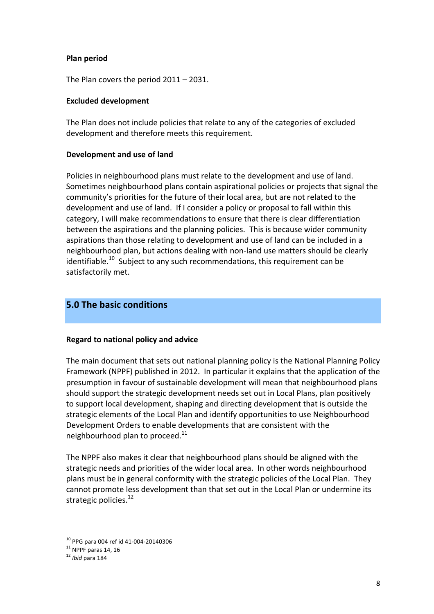#### **Plan period**

 The Plan covers the period 2011 – 2031.

#### **Excluded development**

The Plan does not include policies that relate to any of the categories of excluded development and therefore meets this requirement.

#### **Development and use of land**

Policies in neighbourhood plans must relate to the development and use of land. Sometimes neighbourhood plans contain aspirational policies or projects that signal the community's priorities for the future of their local area, but are not related to the development and use of land. If I consider a policy or proposal to fall within this category, I will make recommendations to ensure that there is clear differentiation between the aspirations and the planning policies. This is because wider community aspirations than those relating to development and use of land can be included in a neighbourhood plan, but actions dealing with non-land use matters should be clearly identifiable.<sup>10</sup> Subject to any such recommendations, this requirement can be satisfactorily met.

## **5.0 The basic conditions**

#### **Regard to national policy and advice**

The main document that sets out national planning policy is the National Planning Policy Framework (NPPF) published in 2012. In particular it explains that the application of the presumption in favour of sustainable development will mean that neighbourhood plans should support the strategic development needs set out in Local Plans, plan positively to support local development, shaping and directing development that is outside the strategic elements of the Local Plan and identify opportunities to use Neighbourhood Development Orders to enable developments that are consistent with the neighbourhood plan to proceed. $^{11}$ 

The NPPF also makes it clear that neighbourhood plans should be aligned with the strategic needs and priorities of the wider local area. In other words neighbourhood plans must be in general conformity with the strategic policies of the Local Plan. They cannot promote less development than that set out in the Local Plan or undermine its strategic policies.<sup>12</sup>

 <sup>10</sup> PPG para 004 ref id 41-004-20140306<br><sup>11</sup> NPPF paras 14, 16<br><sup>12</sup> *Ibid* para 184

 $11$  NPPF paras 14, 16

 $12$  Ibid para 184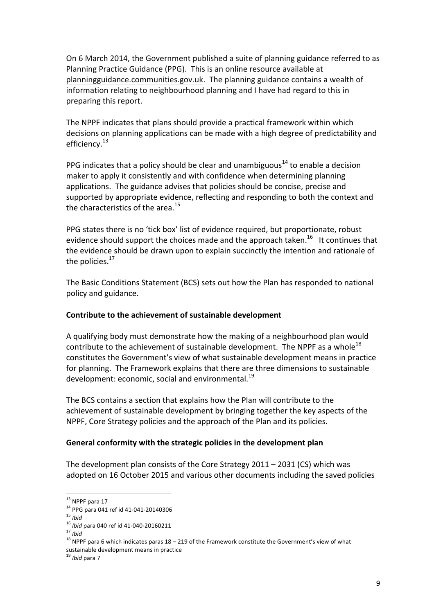On 6 March 2014, the Government published a suite of planning guidance referred to as Planning Practice Guidance (PPG). This is an online resource available at planningguidance.communities.gov.uk. The planning guidance contains a wealth of information relating to neighbourhood planning and I have had regard to this in preparing this report.

The NPPF indicates that plans should provide a practical framework within which decisions on planning applications can be made with a high degree of predictability and efficiency.<sup>13</sup>

PPG indicates that a policy should be clear and unambiguous<sup>14</sup> to enable a decision maker to apply it consistently and with confidence when determining planning applications. The guidance advises that policies should be concise, precise and supported by appropriate evidence, reflecting and responding to both the context and the characteristics of the area.<sup>15</sup>

PPG states there is no 'tick box' list of evidence required, but proportionate, robust evidence should support the choices made and the approach taken.<sup>16</sup> It continues that the evidence should be drawn upon to explain succinctly the intention and rationale of the policies. $^{17}$ 

The Basic Conditions Statement (BCS) sets out how the Plan has responded to national policy and guidance.

#### **Contribute to the achievement of sustainable development**

A qualifying body must demonstrate how the making of a neighbourhood plan would contribute to the achievement of sustainable development. The NPPF as a whole<sup>18</sup> constitutes the Government's view of what sustainable development means in practice for planning. The Framework explains that there are three dimensions to sustainable development: economic, social and environmental.<sup>19</sup>

The BCS contains a section that explains how the Plan will contribute to the achievement of sustainable development by bringing together the key aspects of the NPPF, Core Strategy policies and the approach of the Plan and its policies.

#### General conformity with the strategic policies in the development plan

The development plan consists of the Core Strategy  $2011 - 2031$  (CS) which was adopted on 16 October 2015 and various other documents including the saved policies

 

 $15$  Ibid

 $16$  Ibid para 040 ref id 41-040-20160211

<sup>&</sup>lt;sup>13</sup> NPPF para 17<br><sup>14</sup> PPG para 041 ref id 41-041-20140306<br><sup>15</sup> Ibid<br><sup>17</sup> Ibid<br><sup>17</sup> Ibid<br><sup>18</sup> NPPF para 6 which indicates paras 18 – 219 of the Framework constitute the Government's view of what sustainable development means in practice<br><sup>19</sup> *Ibid* para 7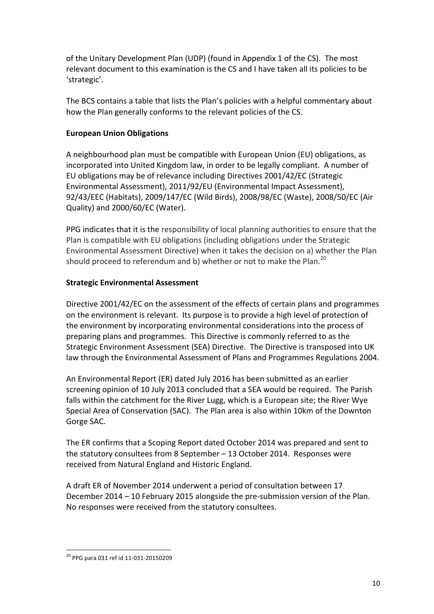of the Unitary Development Plan (UDP) (found in Appendix 1 of the CS). The most relevant document to this examination is the CS and I have taken all its policies to be 'strategic'.

The BCS contains a table that lists the Plan's policies with a helpful commentary about how the Plan generally conforms to the relevant policies of the CS.

#### **European Union Obligations**

A neighbourhood plan must be compatible with European Union (EU) obligations, as incorporated into United Kingdom law, in order to be legally compliant. A number of EU obligations may be of relevance including Directives 2001/42/EC (Strategic Environmental Assessment), 2011/92/EU (Environmental Impact Assessment), 92/43/EEC (Habitats), 2009/147/EC (Wild Birds), 2008/98/EC (Waste), 2008/50/EC (Air Quality) and 2000/60/EC (Water).

PPG indicates that it is the responsibility of local planning authorities to ensure that the Plan is compatible with EU obligations (including obligations under the Strategic Environmental Assessment Directive) when it takes the decision on a) whether the Plan should proceed to referendum and b) whether or not to make the Plan.<sup>20</sup>

#### **Strategic Environmental Assessment**

Directive 2001/42/EC on the assessment of the effects of certain plans and programmes on the environment is relevant. Its purpose is to provide a high level of protection of the environment by incorporating environmental considerations into the process of preparing plans and programmes. This Directive is commonly referred to as the Strategic Environment Assessment (SEA) Directive. The Directive is transposed into UK law through the Environmental Assessment of Plans and Programmes Regulations 2004.

An Environmental Report (ER) dated July 2016 has been submitted as an earlier screening opinion of 10 July 2013 concluded that a SEA would be required. The Parish falls within the catchment for the River Lugg, which is a European site; the River Wye Special Area of Conservation (SAC). The Plan area is also within 10km of the Downton Gorge SAC.

The ER confirms that a Scoping Report dated October 2014 was prepared and sent to the statutory consultees from 8 September - 13 October 2014. Responses were received from Natural England and Historic England.

A draft ER of November 2014 underwent a period of consultation between 17 December 2014 - 10 February 2015 alongside the pre-submission version of the Plan. No responses were received from the statutory consultees.

  $^{20}$  PPG para 031 ref id 11-031-20150209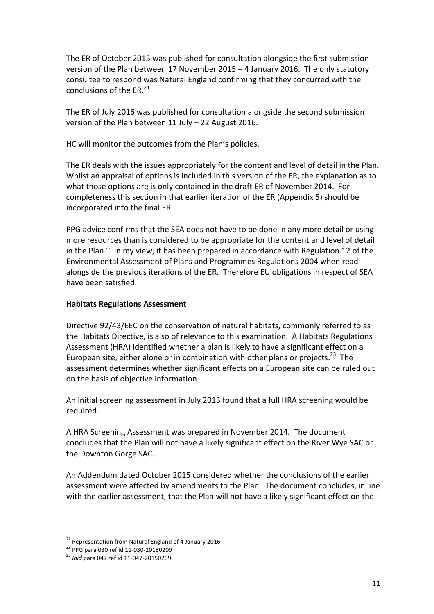The ER of October 2015 was published for consultation alongside the first submission version of the Plan between 17 November 2015 - 4 January 2016. The only statutory consultee to respond was Natural England confirming that they concurred with the conclusions of the ER. $^{21}$ 

The ER of July 2016 was published for consultation alongside the second submission version of the Plan between 11 July - 22 August 2016.

 HC will monitor the outcomes from the Plan's policies.

The ER deals with the issues appropriately for the content and level of detail in the Plan. Whilst an appraisal of options is included in this version of the ER, the explanation as to what those options are is only contained in the draft ER of November 2014. For completeness this section in that earlier iteration of the ER (Appendix 5) should be incorporated into the final ER.

PPG advice confirms that the SEA does not have to be done in any more detail or using more resources than is considered to be appropriate for the content and level of detail in the Plan.<sup>22</sup> In my view, it has been prepared in accordance with Regulation 12 of the Environmental Assessment of Plans and Programmes Regulations 2004 when read alongside the previous iterations of the ER. Therefore EU obligations in respect of SEA have been satisfied.

#### **Habitats Regulations Assessment**

 Directive 92/43/EEC on the conservation of natural habitats, commonly referred to as the Habitats Directive, is also of relevance to this examination. A Habitats Regulations Assessment (HRA) identified whether a plan is likely to have a significant effect on a European site, either alone or in combination with other plans or projects.<sup>23</sup> The assessment determines whether significant effects on a European site can be ruled out on the basis of objective information.

An initial screening assessment in July 2013 found that a full HRA screening would be required.

A HRA Screening Assessment was prepared in November 2014. The document concludes that the Plan will not have a likely significant effect on the River Wye SAC or the Downton Gorge SAC. 

 An Addendum dated October 2015 considered whether the conclusions of the earlier assessment were affected by amendments to the Plan. The document concludes, in line with the earlier assessment, that the Plan will not have a likely significant effect on the

 

<sup>&</sup>lt;sup>21</sup> Representation from Natural England of 4 January 2016<br><sup>22</sup> PPG para 030 ref id 11-030-20150209<br><sup>23</sup> *Ibid* para 047 ref id 11-047-20150209

<sup>&</sup>lt;sup>22</sup> PPG para 030 ref id 11-030-20150209

 $^{23}$  Ibid para 047 ref id 11-047-20150209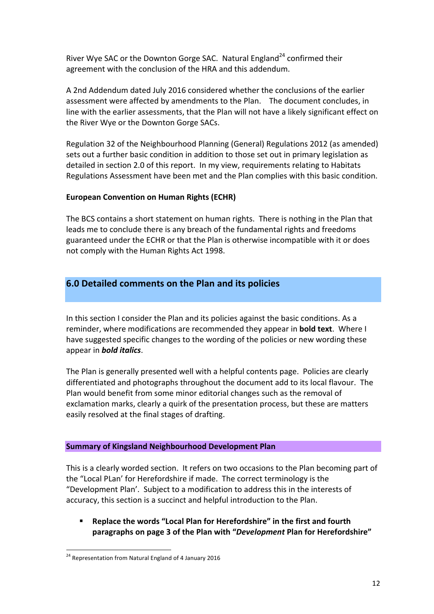River Wye SAC or the Downton Gorge SAC. Natural England<sup>24</sup> confirmed their agreement with the conclusion of the HRA and this addendum.

A 2nd Addendum dated July 2016 considered whether the conclusions of the earlier assessment were affected by amendments to the Plan. The document concludes, in line with the earlier assessments, that the Plan will not have a likely significant effect on the River Wye or the Downton Gorge SACs. 

 Regulation 32 of the Neighbourhood Planning (General) Regulations 2012 (as amended) sets out a further basic condition in addition to those set out in primary legislation as detailed in section 2.0 of this report. In my view, requirements relating to Habitats Regulations Assessment have been met and the Plan complies with this basic condition.

#### **European Convention on Human Rights (ECHR)**

The BCS contains a short statement on human rights. There is nothing in the Plan that leads me to conclude there is any breach of the fundamental rights and freedoms guaranteed under the ECHR or that the Plan is otherwise incompatible with it or does not comply with the Human Rights Act 1998.

## **6.0 Detailed comments on the Plan and its policies**

In this section I consider the Plan and its policies against the basic conditions. As a reminder, where modifications are recommended they appear in **bold text**. Where I have suggested specific changes to the wording of the policies or new wording these appear in **bold italics**.

The Plan is generally presented well with a helpful contents page. Policies are clearly differentiated and photographs throughout the document add to its local flavour. The Plan would benefit from some minor editorial changes such as the removal of exclamation marks, clearly a quirk of the presentation process, but these are matters easily resolved at the final stages of drafting.

#### **Summary of Kingsland Neighbourhood Development Plan**

This is a clearly worded section. It refers on two occasions to the Plan becoming part of the "Local PLan' for Herefordshire if made. The correct terminology is the "Development Plan'. Subject to a modification to address this in the interests of accuracy, this section is a succinct and helpful introduction to the Plan.

 $\blacksquare$  Replace the words "Local Plan for Herefordshire" in the first and fourth  **paragraphs on page 3 of the Plan with "***Development* **Plan for Herefordshire"**

  $24$  Representation from Natural England of 4 January 2016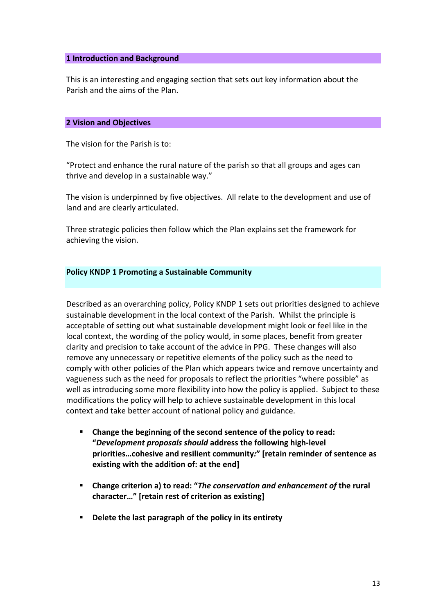#### **1 Introduction and Background**

This is an interesting and engaging section that sets out key information about the Parish and the aims of the Plan.

#### **2 Vision and Objectives**

The vision for the Parish is to:

"Protect and enhance the rural nature of the parish so that all groups and ages can thrive and develop in a sustainable way."

The vision is underpinned by five objectives. All relate to the development and use of land and are clearly articulated.

Three strategic policies then follow which the Plan explains set the framework for achieving the vision.

#### **Policy KNDP 1 Promoting a Sustainable Community**

Described as an overarching policy, Policy KNDP 1 sets out priorities designed to achieve sustainable development in the local context of the Parish. Whilst the principle is acceptable of setting out what sustainable development might look or feel like in the local context, the wording of the policy would, in some places, benefit from greater clarity and precision to take account of the advice in PPG. These changes will also remove any unnecessary or repetitive elements of the policy such as the need to comply with other policies of the Plan which appears twice and remove uncertainty and vagueness such as the need for proposals to reflect the priorities "where possible" as well as introducing some more flexibility into how the policy is applied. Subject to these modifications the policy will help to achieve sustainable development in this local context and take better account of national policy and guidance.

- **E** Change the beginning of the second sentence of the policy to read: **existing** with the addition of: at the end] **"***Development proposals should* **address the following high-level priorities…cohesive and resilient community***:***" [retain reminder of sentence as**
- $\blacksquare$  Change criterion a) to read: "The conservation and enhancement of the rural character..." [retain rest of criterion as existing]
- **Delete the last paragraph of the policy in its entirety**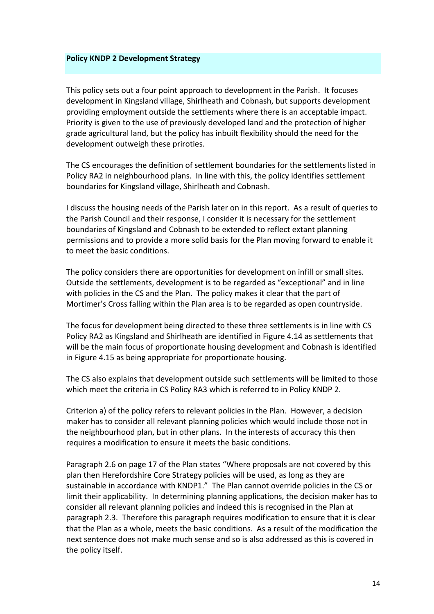#### **Policy KNDP 2 Development Strategy**

This policy sets out a four point approach to development in the Parish. It focuses development in Kingsland village, Shirlheath and Cobnash, but supports development providing employment outside the settlements where there is an acceptable impact. Priority is given to the use of previously developed land and the protection of higher grade agricultural land, but the policy has inbuilt flexibility should the need for the development outweigh these priroties.

The CS encourages the definition of settlement boundaries for the settlements listed in Policy RA2 in neighbourhood plans. In line with this, the policy identifies settlement boundaries for Kingsland village, Shirlheath and Cobnash.

I discuss the housing needs of the Parish later on in this report. As a result of queries to the Parish Council and their response, I consider it is necessary for the settlement boundaries of Kingsland and Cobnash to be extended to reflect extant planning permissions and to provide a more solid basis for the Plan moving forward to enable it to meet the basic conditions.

The policy considers there are opportunities for development on infill or small sites. Outside the settlements, development is to be regarded as "exceptional" and in line with policies in the CS and the Plan. The policy makes it clear that the part of Mortimer's Cross falling within the Plan area is to be regarded as open countryside.

The focus for development being directed to these three settlements is in line with CS Policy RA2 as Kingsland and Shirlheath are identified in Figure 4.14 as settlements that will be the main focus of proportionate housing development and Cobnash is identified in Figure 4.15 as being appropriate for proportionate housing.

The CS also explains that development outside such settlements will be limited to those which meet the criteria in CS Policy RA3 which is referred to in Policy KNDP 2.

Criterion a) of the policy refers to relevant policies in the Plan. However, a decision maker has to consider all relevant planning policies which would include those not in the neighbourhood plan, but in other plans. In the interests of accuracy this then requires a modification to ensure it meets the basic conditions.

Paragraph 2.6 on page 17 of the Plan states "Where proposals are not covered by this plan then Herefordshire Core Strategy policies will be used, as long as they are sustainable in accordance with KNDP1." The Plan cannot override policies in the CS or limit their applicability. In determining planning applications, the decision maker has to consider all relevant planning policies and indeed this is recognised in the Plan at paragraph 2.3. Therefore this paragraph requires modification to ensure that it is clear that the Plan as a whole, meets the basic conditions. As a result of the modification the next sentence does not make much sense and so is also addressed as this is covered in the policy itself.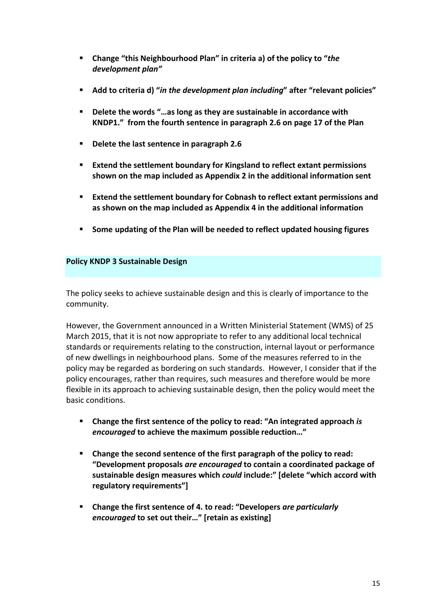- **E** Change "this Neighbourhood Plan" in criteria a) of the policy to "the *development plan"*
- **E** Add to criteria d) "in the development plan including" after "relevant policies"
- **KNDP1." from the fourth sentence in paragraph 2.6 on page 17 of the Plan Delete the words "...as long as they are sustainable in accordance with**
- **Delete the last sentence in paragraph 2.6**
- **shown on the map included as Appendix 2 in the additional information sent Extend the settlement boundary for Kingsland to reflect extant permissions**
- **as shown on the map included as Appendix 4 in the additional information Extend the settlement boundary for Cobnash to reflect extant permissions and**
- **Some updating of the Plan will be needed to reflect updated housing figures**

#### **Policy KNDP 3 Sustainable Design**

 The policy seeks to achieve sustainable design and this is clearly of importance to the community.

However, the Government announced in a Written Ministerial Statement (WMS) of 25 March 2015, that it is not now appropriate to refer to any additional local technical standards or requirements relating to the construction, internal layout or performance of new dwellings in neighbourhood plans. Some of the measures referred to in the policy may be regarded as bordering on such standards. However, I consider that if the policy encourages, rather than requires, such measures and therefore would be more flexible in its approach to achieving sustainable design, then the policy would meet the basic conditions.

- **E** Change the first sentence of the policy to read: "An integrated approach *is encouraged* to achieve the maximum possible reduction..."
- **"Development proposals** *are encouraged* **to contain a coordinated package of** sustainable design measures which *could* include:" [delete "which accord with **Example 1** Change the second sentence of the first paragraph of the policy to read: **regulatory requirements"]**
- **E** Change the first sentence of 4. to read: "Developers are particularly *encouraged* to set out their..." Iretain as existing]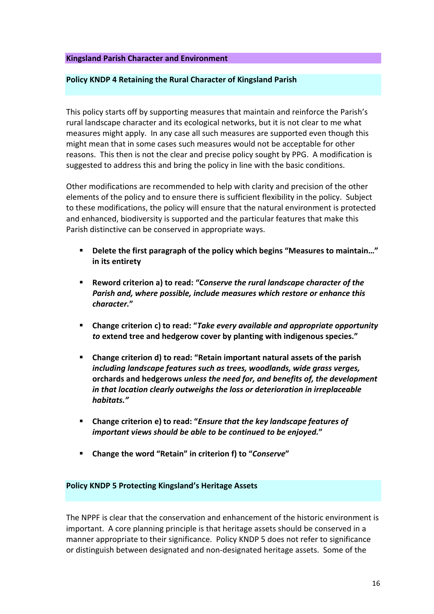#### **Kingsland Parish Character and Environment**

#### **Policy KNDP 4 Retaining the Rural Character of Kingsland Parish**

This policy starts off by supporting measures that maintain and reinforce the Parish's rural landscape character and its ecological networks, but it is not clear to me what measures might apply. In any case all such measures are supported even though this might mean that in some cases such measures would not be acceptable for other reasons. This then is not the clear and precise policy sought by PPG. A modification is suggested to address this and bring the policy in line with the basic conditions.

 Other modifications are recommended to help with clarity and precision of the other elements of the policy and to ensure there is sufficient flexibility in the policy. Subject to these modifications, the policy will ensure that the natural environment is protected and enhanced, biodiversity is supported and the particular features that make this Parish distinctive can be conserved in appropriate ways.

- **Delete the first paragraph of the policy which begins "Measures to maintain…" in its entirety**
- $\blacksquare$  **Reword criterion a) to read: "Conserve the rural landscape character of the**  *Parish and, where possible, include measures which restore or enhance this character.***"**
- **E** Change criterion c) to read: "Take every available and appropriate opportunity to extend tree and hedgerow cover by planting with indigenous species."
- $\blacksquare$  Change criterion **d**) to read: "Retain important natural assets of the parish  *including landscape features such as trees, woodlands, wide grass verges,*  **orchards and hedgerows** *unless the need for, and benefits of, the development in that location clearly outweighs the loss or deterioration in irreplaceable habitats."*
- **E** Change criterion **e**) to read: "*Ensure that the key landscape features of important views should be able to be continued to be enjoyed.***"**
- $\blacksquare$  Change the word "Retain" in criterion f) to "Conserve"

#### **Policy KNDP 5 Protecting Kingsland's Heritage Assets**

The NPPF is clear that the conservation and enhancement of the historic environment is important. A core planning principle is that heritage assets should be conserved in a manner appropriate to their significance. Policy KNDP 5 does not refer to significance or distinguish between designated and non-designated heritage assets. Some of the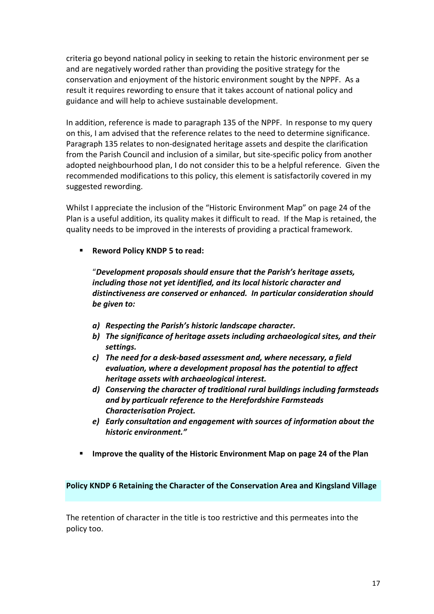criteria go beyond national policy in seeking to retain the historic environment per se and are negatively worded rather than providing the positive strategy for the conservation and enjoyment of the historic environment sought by the NPPF. As a result it requires rewording to ensure that it takes account of national policy and guidance and will help to achieve sustainable development.

 In addition, reference is made to paragraph 135 of the NPPF. In response to my query on this, I am advised that the reference relates to the need to determine significance. Paragraph 135 relates to non-designated heritage assets and despite the clarification from the Parish Council and inclusion of a similar, but site-specific policy from another adopted neighbourhood plan, I do not consider this to be a helpful reference. Given the recommended modifications to this policy, this element is satisfactorily covered in my suggested rewording.

Whilst I appreciate the inclusion of the "Historic Environment Map" on page 24 of the Plan is a useful addition, its quality makes it difficult to read. If the Map is retained, the quality needs to be improved in the interests of providing a practical framework.

 ! **Reword Policy KNDP 5 to read:**

 "*Development proposals should ensure that the Parish's heritage assets, including those not yet identified, and its local historic character and distinctiveness are conserved or enhanced. In particular consideration should be given to:*

- *a) Respecting the Parish's historic landscape character.*
- *b) The significance of heritage assets including archaeological sites, and their settings.*
- *c) The need for a desk-based assessment and, where necessary, a field evaluation, where a development proposal has the potential to affect heritage assets with archaeological interest.*
- *d) Conserving the character of traditional rural buildings including farmsteads and by particualr reference to the Herefordshire Farmsteads Characterisation Project.*
- *e) Early consultation and engagement with sources of information about the historic environment."*
- $\blacksquare$  Improve the quality of the Historic Environment Map on page 24 of the Plan

#### **Policy KNDP 6 Retaining the Character of the Conservation Area and Kingsland Village**

 The retention of character in the title is too restrictive and this permeates into the policy too.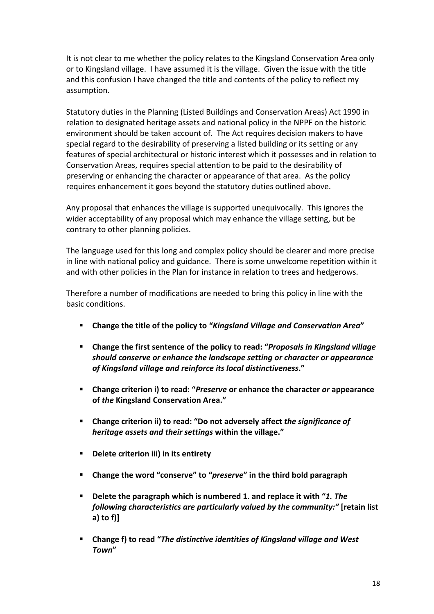It is not clear to me whether the policy relates to the Kingsland Conservation Area only or to Kingsland village. I have assumed it is the village. Given the issue with the title and this confusion I have changed the title and contents of the policy to reflect my assumption.

Statutory duties in the Planning (Listed Buildings and Conservation Areas) Act 1990 in relation to designated heritage assets and national policy in the NPPF on the historic environment should be taken account of. The Act requires decision makers to have special regard to the desirability of preserving a listed building or its setting or any features of special architectural or historic interest which it possesses and in relation to Conservation Areas, requires special attention to be paid to the desirability of preserving or enhancing the character or appearance of that area. As the policy requires enhancement it goes beyond the statutory duties outlined above.

Any proposal that enhances the village is supported unequivocally. This ignores the wider acceptability of any proposal which may enhance the village setting, but be contrary to other planning policies.

The language used for this long and complex policy should be clearer and more precise in line with national policy and guidance. There is some unwelcome repetition within it and with other policies in the Plan for instance in relation to trees and hedgerows.

Therefore a number of modifications are needed to bring this policy in line with the basic conditions.

- **E** Change the title of the policy to "Kingsland Village and Conservation Area"
- **EXECH THE INCOCALE THE INDUMALE:** Change the first sentence of the policy to read: "Proposals in Kingsland village  *should conserve or enhance the landscape setting or character or appearance of Kingsland village and reinforce its local distinctiveness***."**
- **E** Change criterion i) to read: "Preserve or enhance the character or appearance  **of** *the* **Kingsland Conservation Area."**
- **E** Change criterion ii) to read: "Do not adversely affect the significance of  *heritage assets and their settings* **within the village."**
- **Delete criterion iii) in its entirety**
- **E** Change the word "conserve" to "preserve" in the third bold paragraph
- **Delete the paragraph which is numbered 1. and replace it with "1. The** *following characteristics are particularly valued by the community:"* [retain list] **a) to f)]**
- $\blacksquare$  Change f) to read "The distinctive identities of Kingsland village and West *Town***"**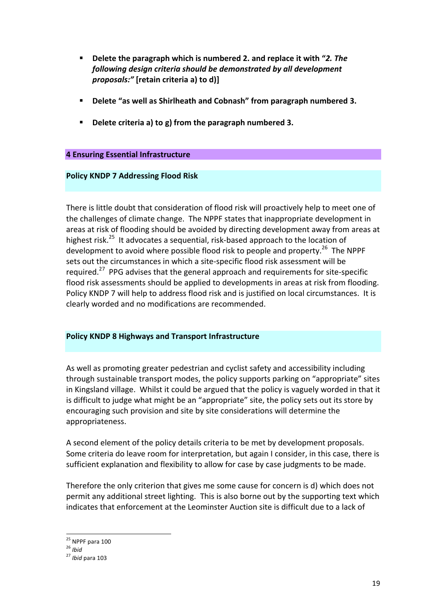- *following design criteria should be demonstrated by all development*  **Delete the paragraph which is numbered 2. and replace it with "2. The** *proposals:"* [retain criteria a) to d)]
- **Delete "as well as Shirlheath and Cobnash" from paragraph numbered 3.**
- **Delete criteria a) to g) from the paragraph numbered 3.**

#### **4 Ensuring Essential Infrastructure**

#### **Policy KNDP 7 Addressing Flood Risk**

There is little doubt that consideration of flood risk will proactively help to meet one of the challenges of climate change. The NPPF states that inappropriate development in areas at risk of flooding should be avoided by directing development away from areas at highest risk.<sup>25</sup> It advocates a sequential, risk-based approach to the location of development to avoid where possible flood risk to people and property.<sup>26</sup> The NPPF sets out the circumstances in which a site-specific flood risk assessment will be required.<sup>27</sup> PPG advises that the general approach and requirements for site-specific flood risk assessments should be applied to developments in areas at risk from flooding. Policy KNDP 7 will help to address flood risk and is justified on local circumstances. It is clearly worded and no modifications are recommended.

#### **Policy KNDP 8 Highways and Transport Infrastructure**

As well as promoting greater pedestrian and cyclist safety and accessibility including through sustainable transport modes, the policy supports parking on "appropriate" sites in Kingsland village. Whilst it could be argued that the policy is vaguely worded in that it is difficult to judge what might be an "appropriate" site, the policy sets out its store by encouraging such provision and site by site considerations will determine the appropriateness.

A second element of the policy details criteria to be met by development proposals. Some criteria do leave room for interpretation, but again I consider, in this case, there is sufficient explanation and flexibility to allow for case by case judgments to be made.

Therefore the only criterion that gives me some cause for concern is d) which does not permit any additional street lighting. This is also borne out by the supporting text which indicates that enforcement at the Leominster Auction site is difficult due to a lack of

  $25$  NPPF para 100

<sup>&</sup>lt;sup>26</sup> *Ibid*<br><sup>27</sup> *Ibid* para 103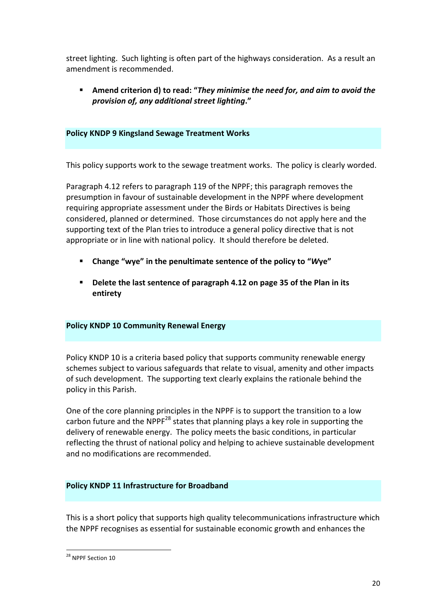street lighting. Such lighting is often part of the highways consideration. As a result an amendment is recommended.

Amend criterion d) to read: "They minimise the need for, and aim to avoid the  *provision of, any additional street lighting***."**

#### **Policy KNDP 9 Kingsland Sewage Treatment Works**

This policy supports work to the sewage treatment works. The policy is clearly worded.

 Paragraph 4.12 refers to paragraph 119 of the NPPF; this paragraph removes the presumption in favour of sustainable development in the NPPF where development requiring appropriate assessment under the Birds or Habitats Directives is being considered, planned or determined. Those circumstances do not apply here and the supporting text of the Plan tries to introduce a general policy directive that is not appropriate or in line with national policy. It should therefore be deleted.

- **Change "wye" in the penultimate sentence of the policy to "Wye"**
- Delete the last sentence of paragraph 4.12 on page 35 of the Plan in its **entirety**

#### **Policy KNDP 10 Community Renewal Energy**

Policy KNDP 10 is a criteria based policy that supports community renewable energy schemes subject to various safeguards that relate to visual, amenity and other impacts of such development. The supporting text clearly explains the rationale behind the policy in this Parish.

One of the core planning principles in the NPPF is to support the transition to a low carbon future and the NPPF<sup>28</sup> states that planning plays a key role in supporting the delivery of renewable energy. The policy meets the basic conditions, in particular reflecting the thrust of national policy and helping to achieve sustainable development and no modifications are recommended.

#### **Policy KNDP 11 Infrastructure for Broadband**

This is a short policy that supports high quality telecommunications infrastructure which the NPPF recognises as essential for sustainable economic growth and enhances the

 <sup>28</sup> NPPF Section 10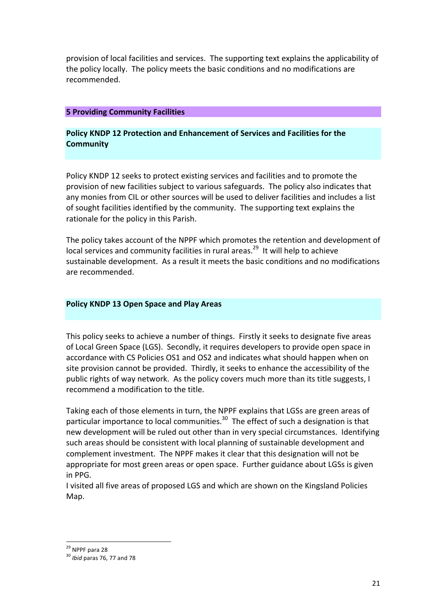provision of local facilities and services. The supporting text explains the applicability of the policy locally. The policy meets the basic conditions and no modifications are recommended.

#### **5 Providing Community Facilities**

#### **Policy KNDP 12 Protection and Enhancement of Services and Facilities for the Community**

Policy KNDP 12 seeks to protect existing services and facilities and to promote the provision of new facilities subject to various safeguards. The policy also indicates that any monies from CIL or other sources will be used to deliver facilities and includes a list of sought facilities identified by the community. The supporting text explains the rationale for the policy in this Parish.

The policy takes account of the NPPF which promotes the retention and development of local services and community facilities in rural areas.<sup>29</sup> It will help to achieve sustainable development. As a result it meets the basic conditions and no modifications are recommended.

#### **Policy KNDP 13 Open Space and Play Areas**

This policy seeks to achieve a number of things. Firstly it seeks to designate five areas of Local Green Space (LGS). Secondly, it requires developers to provide open space in accordance with CS Policies OS1 and OS2 and indicates what should happen when on site provision cannot be provided. Thirdly, it seeks to enhance the accessibility of the public rights of way network. As the policy covers much more than its title suggests, I recommend a modification to the title.

Taking each of those elements in turn, the NPPF explains that LGSs are green areas of particular importance to local communities.<sup>30</sup> The effect of such a designation is that new development will be ruled out other than in very special circumstances. Identifying such areas should be consistent with local planning of sustainable development and complement investment. The NPPF makes it clear that this designation will not be appropriate for most green areas or open space. Further guidance about LGSs is given in PPG.

I visited all five areas of proposed LGS and which are shown on the Kingsland Policies Map. 

 

<sup>&</sup>lt;sup>29</sup> NPPF para 28

<sup>&</sup>lt;sup>29</sup> NPPF para 28<br><sup>30</sup> *Ibid* paras 76, 77 and 78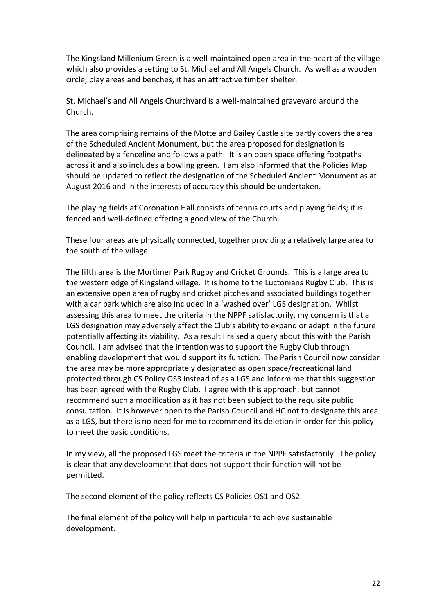The Kingsland Millenium Green is a well-maintained open area in the heart of the village which also provides a setting to St. Michael and All Angels Church. As well as a wooden circle, play areas and benches, it has an attractive timber shelter.

St. Michael's and All Angels Churchyard is a well-maintained graveyard around the Church.

The area comprising remains of the Motte and Bailey Castle site partly covers the area of the Scheduled Ancient Monument, but the area proposed for designation is delineated by a fenceline and follows a path. It is an open space offering footpaths across it and also includes a bowling green. I am also informed that the Policies Map should be updated to reflect the designation of the Scheduled Ancient Monument as at August 2016 and in the interests of accuracy this should be undertaken.

The playing fields at Coronation Hall consists of tennis courts and playing fields; it is fenced and well-defined offering a good view of the Church.

These four areas are physically connected, together providing a relatively large area to the south of the village.

The fifth area is the Mortimer Park Rugby and Cricket Grounds. This is a large area to the western edge of Kingsland village. It is home to the Luctonians Rugby Club. This is an extensive open area of rugby and cricket pitches and associated buildings together with a car park which are also included in a 'washed over' LGS designation. Whilst assessing this area to meet the criteria in the NPPF satisfactorily, my concern is that a LGS designation may adversely affect the Club's ability to expand or adapt in the future potentially affecting its viability. As a result I raised a query about this with the Parish Council. I am advised that the intention was to support the Rugby Club through enabling development that would support its function. The Parish Council now consider the area may be more appropriately designated as open space/recreational land protected through CS Policy OS3 instead of as a LGS and inform me that this suggestion has been agreed with the Rugby Club. I agree with this approach, but cannot recommend such a modification as it has not been subject to the requisite public consultation. It is however open to the Parish Council and HC not to designate this area as a LGS, but there is no need for me to recommend its deletion in order for this policy to meet the basic conditions.

In my view, all the proposed LGS meet the criteria in the NPPF satisfactorily. The policy is clear that any development that does not support their function will not be permitted.

The second element of the policy reflects CS Policies OS1 and OS2.

The final element of the policy will help in particular to achieve sustainable development.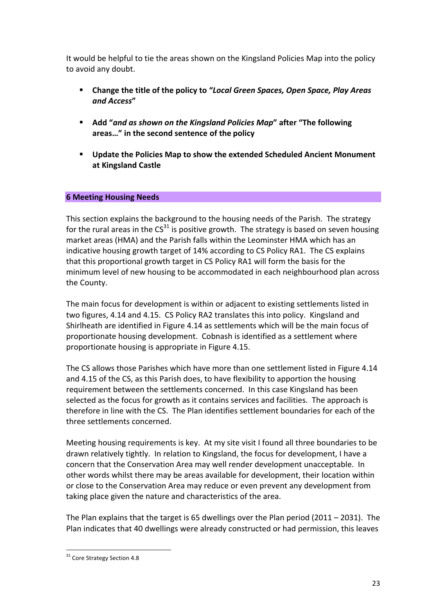It would be helpful to tie the areas shown on the Kingsland Policies Map into the policy to avoid any doubt.

- **E** Change the title of the policy to "Local Green Spaces, Open Space, Play Areas *and Access***"**
- **E** Add "and as shown on the Kingsland Policies Map" after "The following **areas…" in the second sentence of the policy**
- **E** Update the Policies Map to show the extended Scheduled Ancient Monument **at Kingsland Castle**

#### **6 Meeting Housing Needs**

 This section explains the background to the housing needs of the Parish. The strategy for the rural areas in the CS<sup>31</sup> is positive growth. The strategy is based on seven housing market areas (HMA) and the Parish falls within the Leominster HMA which has an indicative housing growth target of 14% according to CS Policy RA1. The CS explains that this proportional growth target in CS Policy RA1 will form the basis for the minimum level of new housing to be accommodated in each neighbourhood plan across the County.

The main focus for development is within or adjacent to existing settlements listed in two figures, 4.14 and 4.15. CS Policy RA2 translates this into policy. Kingsland and Shirlheath are identified in Figure 4.14 as settlements which will be the main focus of proportionate housing development. Cobnash is identified as a settlement where proportionate housing is appropriate in Figure 4.15.

The CS allows those Parishes which have more than one settlement listed in Figure 4.14 and 4.15 of the CS, as this Parish does, to have flexibility to apportion the housing requirement between the settlements concerned. In this case Kingsland has been selected as the focus for growth as it contains services and facilities. The approach is therefore in line with the CS. The Plan identifies settlement boundaries for each of the three settlements concerned.

Meeting housing requirements is key. At my site visit I found all three boundaries to be drawn relatively tightly. In relation to Kingsland, the focus for development, I have a concern that the Conservation Area may well render development unacceptable. In other words whilst there may be areas available for development, their location within or close to the Conservation Area may reduce or even prevent any development from taking place given the nature and characteristics of the area.

The Plan explains that the target is 65 dwellings over the Plan period (2011 – 2031). The Plan indicates that 40 dwellings were already constructed or had permission, this leaves

 <sup>31</sup> Core Strategy Section 4.8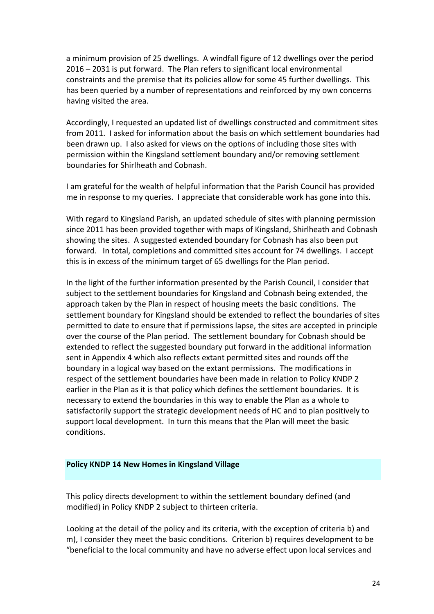a minimum provision of 25 dwellings. A windfall figure of 12 dwellings over the period 2016 - 2031 is put forward. The Plan refers to significant local environmental constraints and the premise that its policies allow for some 45 further dwellings. This has been queried by a number of representations and reinforced by my own concerns having visited the area.

Accordingly, I requested an updated list of dwellings constructed and commitment sites from 2011. I asked for information about the basis on which settlement boundaries had been drawn up. I also asked for views on the options of including those sites with permission within the Kingsland settlement boundary and/or removing settlement boundaries for Shirlheath and Cobnash.

I am grateful for the wealth of helpful information that the Parish Council has provided me in response to my queries. I appreciate that considerable work has gone into this.

 With regard to Kingsland Parish, an updated schedule of sites with planning permission since 2011 has been provided together with maps of Kingsland, Shirlheath and Cobnash showing the sites. A suggested extended boundary for Cobnash has also been put forward. In total, completions and committed sites account for 74 dwellings. I accept this is in excess of the minimum target of 65 dwellings for the Plan period.

In the light of the further information presented by the Parish Council, I consider that subject to the settlement boundaries for Kingsland and Cobnash being extended, the approach taken by the Plan in respect of housing meets the basic conditions. The settlement boundary for Kingsland should be extended to reflect the boundaries of sites permitted to date to ensure that if permissions lapse, the sites are accepted in principle over the course of the Plan period. The settlement boundary for Cobnash should be extended to reflect the suggested boundary put forward in the additional information sent in Appendix 4 which also reflects extant permitted sites and rounds off the boundary in a logical way based on the extant permissions. The modifications in respect of the settlement boundaries have been made in relation to Policy KNDP 2 earlier in the Plan as it is that policy which defines the settlement boundaries. It is necessary to extend the boundaries in this way to enable the Plan as a whole to satisfactorily support the strategic development needs of HC and to plan positively to support local development. In turn this means that the Plan will meet the basic conditions.

#### **Policy KNDP 14 New Homes in Kingsland Village**

This policy directs development to within the settlement boundary defined (and modified) in Policy KNDP 2 subject to thirteen criteria.

Looking at the detail of the policy and its criteria, with the exception of criteria b) and m), I consider they meet the basic conditions. Criterion b) requires development to be "beneficial to the local community and have no adverse effect upon local services and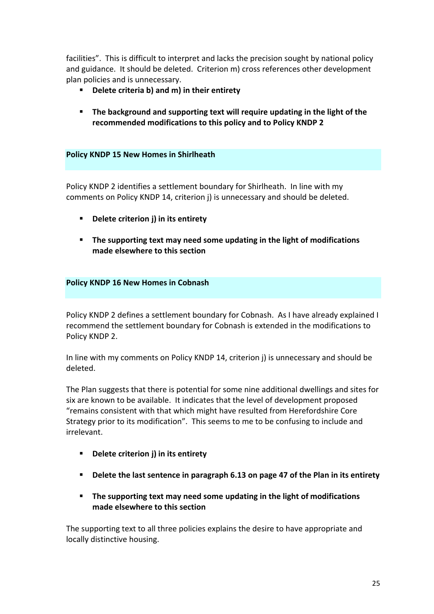facilities". This is difficult to interpret and lacks the precision sought by national policy and guidance. It should be deleted. Criterion m) cross references other development plan policies and is unnecessary.

- $\blacksquare$  Delete criteria b) and m) in their entirety
- $\blacksquare$  The background and supporting text will require updating in the light of the recommended modifications to this policy and to Policy KNDP 2

#### **Policy KNDP 15 New Homes in Shirlheath**

Policy KNDP 2 identifies a settlement boundary for Shirlheath. In line with my comments on Policy KNDP 14, criterion j) is unnecessary and should be deleted.

- **EXECTE:** Delete criterion **j**) in its entirety
- **E** The supporting text may need some updating in the light of modifications **made elsewhere to this section**

#### **Policy KNDP 16 New Homes in Cobnash**

Policy KNDP 2 defines a settlement boundary for Cobnash. As I have already explained I recommend the settlement boundary for Cobnash is extended in the modifications to Policy KNDP 2.

 In line with my comments on Policy KNDP 14, criterion j) is unnecessary and should be deleted.

The Plan suggests that there is potential for some nine additional dwellings and sites for six are known to be available. It indicates that the level of development proposed "remains consistent with that which might have resulted from Herefordshire Core Strategy prior to its modification". This seems to me to be confusing to include and irrelevant.

- **EXECUTE:** Delete criterion **j**) in its entirety
- **.** Delete the last sentence in paragraph 6.13 on page 47 of the Plan in its entirety
- **E** The supporting text may need some updating in the light of modifications **made elsewhere to this section**

The supporting text to all three policies explains the desire to have appropriate and locally distinctive housing.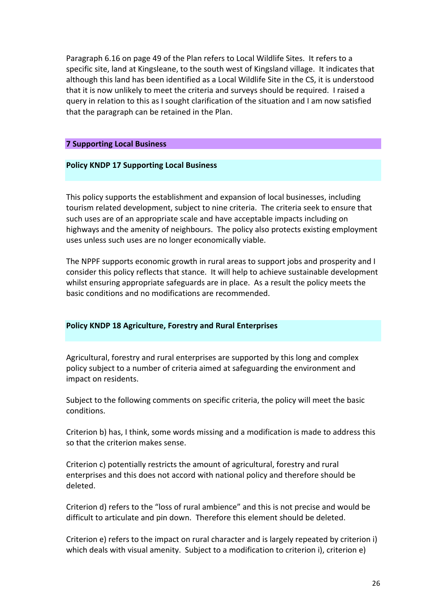Paragraph 6.16 on page 49 of the Plan refers to Local Wildlife Sites. It refers to a specific site, land at Kingsleane, to the south west of Kingsland village. It indicates that although this land has been identified as a Local Wildlife Site in the CS, it is understood that it is now unlikely to meet the criteria and surveys should be required. I raised a query in relation to this as I sought clarification of the situation and I am now satisfied that the paragraph can be retained in the Plan.

#### **7 Supporting Local Business**

#### **Policy KNDP 17 Supporting Local Business**

This policy supports the establishment and expansion of local businesses, including tourism related development, subject to nine criteria. The criteria seek to ensure that such uses are of an appropriate scale and have acceptable impacts including on highways and the amenity of neighbours. The policy also protects existing employment uses unless such uses are no longer economically viable.

The NPPF supports economic growth in rural areas to support jobs and prosperity and I consider this policy reflects that stance. It will help to achieve sustainable development whilst ensuring appropriate safeguards are in place. As a result the policy meets the basic conditions and no modifications are recommended.

#### **Policy KNDP 18 Agriculture, Forestry and Rural Enterprises**

 Agricultural, forestry and rural enterprises are supported by this long and complex policy subject to a number of criteria aimed at safeguarding the environment and impact on residents.

Subject to the following comments on specific criteria, the policy will meet the basic conditions.

Criterion b) has, I think, some words missing and a modification is made to address this so that the criterion makes sense.

Criterion c) potentially restricts the amount of agricultural, forestry and rural enterprises and this does not accord with national policy and therefore should be deleted.

Criterion d) refers to the "loss of rural ambience" and this is not precise and would be difficult to articulate and pin down. Therefore this element should be deleted.

Criterion e) refers to the impact on rural character and is largely repeated by criterion i) which deals with visual amenity. Subject to a modification to criterion i), criterion e)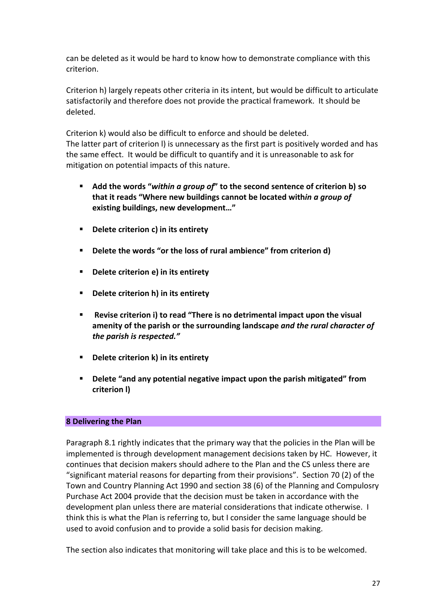can be deleted as it would be hard to know how to demonstrate compliance with this criterion.

Criterion h) largely repeats other criteria in its intent, but would be difficult to articulate satisfactorily and therefore does not provide the practical framework. It should be deleted.

Criterion k) would also be difficult to enforce and should be deleted. The latter part of criterion I) is unnecessary as the first part is positively worded and has the same effect. It would be difficult to quantify and it is unreasonable to ask for mitigation on potential impacts of this nature.

- **E** Add the words "within a group of" to the second sentence of criterion b) so **that it reads "Where new buildings cannot be located within** *a group of* **existing buildings, new development..."**
- **EXECUTE:** Delete criterion c) in its entirety
- **E** Delete the words "or the loss of rural ambience" from criterion d)
- **EXECUTE:** Delete criterion e) in its entirety
- **EXECTE:** Delete criterion h) in its entirety
- $\blacksquare$  Revise criterion **i**) to read "There is no detrimental impact upon the visual  *the parish is respected."* amenity of the parish or the surrounding landscape *and the rural character of*
- ! **Delete criterion k) in its entirety**
- **P** Delete "and any potential negative impact upon the parish mitigated" from **criterion l)**

#### **8 Delivering the Plan**

Paragraph 8.1 rightly indicates that the primary way that the policies in the Plan will be implemented is through development management decisions taken by HC. However, it continues that decision makers should adhere to the Plan and the CS unless there are "significant material reasons for departing from their provisions". Section 70 (2) of the Town and Country Planning Act 1990 and section 38 (6) of the Planning and Compulosry Purchase Act 2004 provide that the decision must be taken in accordance with the development plan unless there are material considerations that indicate otherwise. I think this is what the Plan is referring to, but I consider the same language should be used to avoid confusion and to provide a solid basis for decision making.

The section also indicates that monitoring will take place and this is to be welcomed.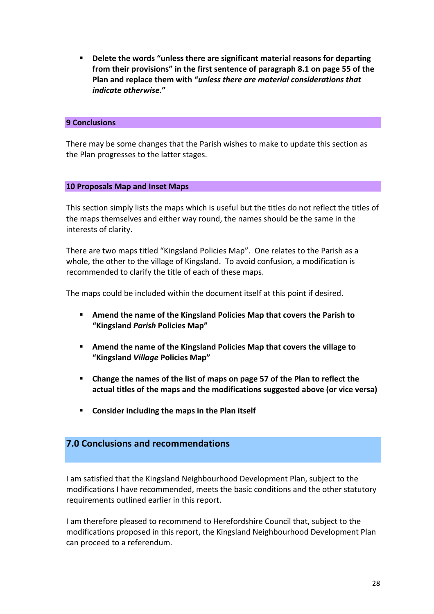**from their provisions" in the first sentence of paragraph 8.1 on page 55 of the**  **Plan and replace them with "***unless there are material considerations that* **EXECTE:** Delete the words "unless there are significant material reasons for departing *indicate otherwise.***"**

#### **9 Conclusions**

There may be some changes that the Parish wishes to make to update this section as the Plan progresses to the latter stages.

#### **10 Proposals Map and Inset Maps**

This section simply lists the maps which is useful but the titles do not reflect the titles of the maps themselves and either way round, the names should be the same in the interests of clarity.

 There are two maps titled "Kingsland Policies Map". One relates to the Parish as a whole, the other to the village of Kingsland. To avoid confusion, a modification is recommended to clarify the title of each of these maps.

The maps could be included within the document itself at this point if desired.

- $\blacksquare$  Amend the name of the Kingsland Policies Map that covers the Parish to  **"Kingsland** *Parish* **Policies Map"**
- $\blacksquare$  Amend the name of the Kingsland Policies Map that covers the village to  **"Kingsland** *Village* **Policies Map"**
- **actual titles of the maps and the modifications suggested above (or vice versa) EXECHANGE:** Change the names of the list of maps on page 57 of the Plan to reflect the
- **Consider including the maps in the Plan itself**

## **7.0 Conclusions and recommendations**

I am satisfied that the Kingsland Neighbourhood Development Plan, subject to the modifications I have recommended, meets the basic conditions and the other statutory requirements outlined earlier in this report.

I am therefore pleased to recommend to Herefordshire Council that, subject to the modifications proposed in this report, the Kingsland Neighbourhood Development Plan can proceed to a referendum.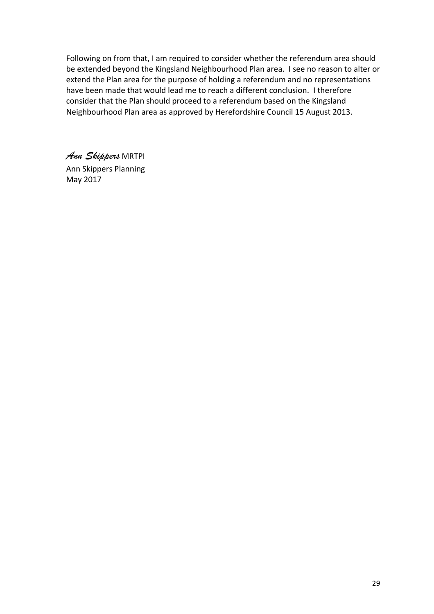Following on from that, I am required to consider whether the referendum area should be extended beyond the Kingsland Neighbourhood Plan area. I see no reason to alter or extend the Plan area for the purpose of holding a referendum and no representations have been made that would lead me to reach a different conclusion. I therefore consider that the Plan should proceed to a referendum based on the Kingsland Neighbourhood Plan area as approved by Herefordshire Council 15 August 2013.

 *Ann Skippers* MRTPI Ann Skippers Planning May 2017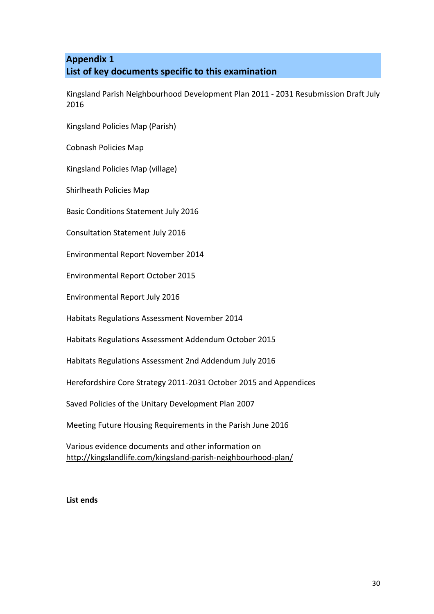## **List of key documents specific to this examination Appendix 1**

Kingsland Parish Neighbourhood Development Plan 2011 - 2031 Resubmission Draft July 2016

 Kingsland Policies Map (Parish)

 Cobnash Policies Map

 Kingsland Policies Map (village)

 Shirlheath Policies Map

Basic Conditions Statement July 2016

Consultation Statement July 2016

 Environmental Report November 2014

 Environmental Report October 2015

Environmental Report July 2016

Habitats Regulations Assessment November 2014

 Habitats Regulations Assessment Addendum October 2015

Habitats Regulations Assessment 2nd Addendum July 2016

 Herefordshire Core Strategy 2011-2031 October 2015 and Appendices

Saved Policies of the Unitary Development Plan 2007

 Meeting Future Housing Requirements in the Parish June 2016

 Various evidence documents and other information on http://kingslandlife.com/kingsland-parish-neighbourhood-plan/

**List ends**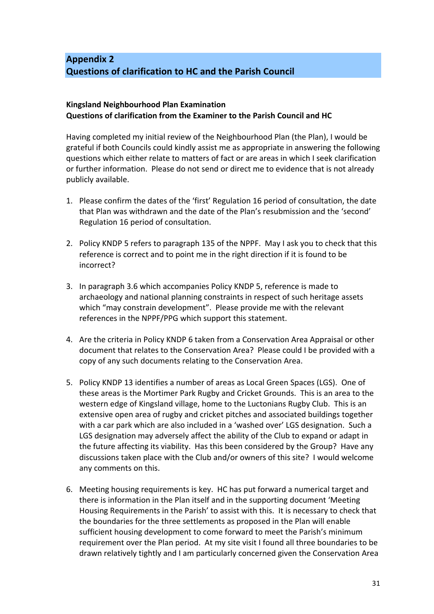## **Questions of clarification to HC and the Parish Council Appendix 2**

#### **Questions of clarification from the Examiner to the Parish Council and HC Kingsland Neighbourhood Plan Examination**

Having completed my initial review of the Neighbourhood Plan (the Plan), I would be grateful if both Councils could kindly assist me as appropriate in answering the following questions which either relate to matters of fact or are areas in which I seek clarification or further information. Please do not send or direct me to evidence that is not already publicly available.

- 1. Please confirm the dates of the 'first' Regulation 16 period of consultation, the date that Plan was withdrawn and the date of the Plan's resubmission and the 'second' Regulation 16 period of consultation.
- 2. Policy KNDP 5 refers to paragraph 135 of the NPPF. May I ask you to check that this reference is correct and to point me in the right direction if it is found to be incorrect?
- 3. In paragraph 3.6 which accompanies Policy KNDP 5, reference is made to archaeology and national planning constraints in respect of such heritage assets which "may constrain development". Please provide me with the relevant references in the NPPF/PPG which support this statement.
- 4. Are the criteria in Policy KNDP 6 taken from a Conservation Area Appraisal or other document that relates to the Conservation Area? Please could I be provided with a copy of any such documents relating to the Conservation Area.
- 5. Policy KNDP 13 identifies a number of areas as Local Green Spaces (LGS). One of these areas is the Mortimer Park Rugby and Cricket Grounds. This is an area to the western edge of Kingsland village, home to the Luctonians Rugby Club. This is an extensive open area of rugby and cricket pitches and associated buildings together with a car park which are also included in a 'washed over' LGS designation. Such a LGS designation may adversely affect the ability of the Club to expand or adapt in the future affecting its viability. Has this been considered by the Group? Have any discussions taken place with the Club and/or owners of this site? I would welcome any comments on this.
- 6. Meeting housing requirements is key. HC has put forward a numerical target and there is information in the Plan itself and in the supporting document 'Meeting Housing Requirements in the Parish' to assist with this. It is necessary to check that the boundaries for the three settlements as proposed in the Plan will enable sufficient housing development to come forward to meet the Parish's minimum requirement over the Plan period. At my site visit I found all three boundaries to be drawn relatively tightly and I am particularly concerned given the Conservation Area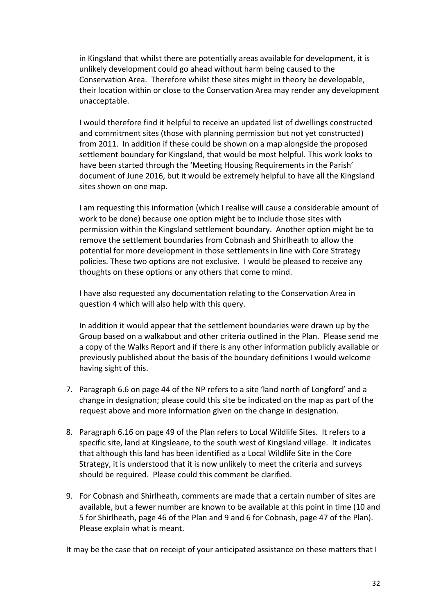in Kingsland that whilst there are potentially areas available for development, it is unlikely development could go ahead without harm being caused to the Conservation Area. Therefore whilst these sites might in theory be developable, their location within or close to the Conservation Area may render any development unacceptable.

I would therefore find it helpful to receive an updated list of dwellings constructed and commitment sites (those with planning permission but not yet constructed) from 2011. In addition if these could be shown on a map alongside the proposed settlement boundary for Kingsland, that would be most helpful. This work looks to have been started through the 'Meeting Housing Requirements in the Parish' document of June 2016, but it would be extremely helpful to have all the Kingsland sites shown on one map.

I am requesting this information (which I realise will cause a considerable amount of work to be done) because one option might be to include those sites with permission within the Kingsland settlement boundary. Another option might be to remove the settlement boundaries from Cobnash and Shirlheath to allow the potential for more development in those settlements in line with Core Strategy policies. These two options are not exclusive. I would be pleased to receive any thoughts on these options or any others that come to mind.

I have also requested any documentation relating to the Conservation Area in question 4 which will also help with this query.

In addition it would appear that the settlement boundaries were drawn up by the Group based on a walkabout and other criteria outlined in the Plan. Please send me a copy of the Walks Report and if there is any other information publicly available or previously published about the basis of the boundary definitions I would welcome having sight of this.

- 7. Paragraph 6.6 on page 44 of the NP refers to a site 'land north of Longford' and a change in designation; please could this site be indicated on the map as part of the request above and more information given on the change in designation.
- 8. Paragraph 6.16 on page 49 of the Plan refers to Local Wildlife Sites. It refers to a specific site, land at Kingsleane, to the south west of Kingsland village. It indicates that although this land has been identified as a Local Wildlife Site in the Core Strategy, it is understood that it is now unlikely to meet the criteria and surveys should be required. Please could this comment be clarified.
- 9. For Cobnash and Shirlheath, comments are made that a certain number of sites are available, but a fewer number are known to be available at this point in time (10 and 5 for Shirlheath, page 46 of the Plan and 9 and 6 for Cobnash, page 47 of the Plan). Please explain what is meant.

It may be the case that on receipt of your anticipated assistance on these matters that I